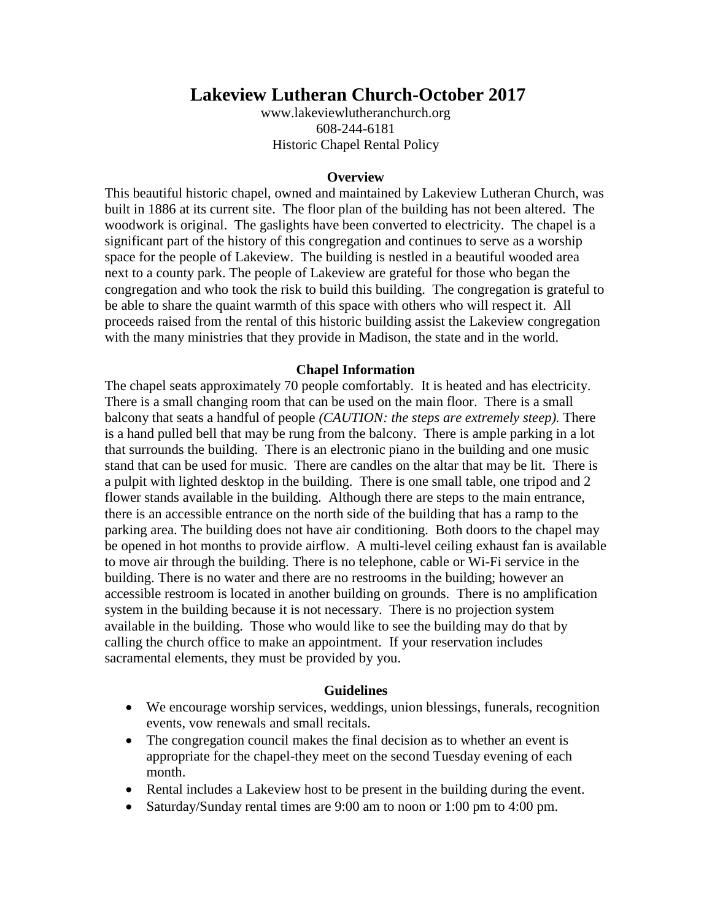# **Lakeview Lutheran Church-October 2017**

[www.lakeviewlutheranchurch.org](http://www.lakeviewlutheranchurch.org/) 608-244-6181 Historic Chapel Rental Policy

#### **Overview**

This beautiful historic chapel, owned and maintained by Lakeview Lutheran Church, was built in 1886 at its current site. The floor plan of the building has not been altered. The woodwork is original. The gaslights have been converted to electricity. The chapel is a significant part of the history of this congregation and continues to serve as a worship space for the people of Lakeview. The building is nestled in a beautiful wooded area next to a county park. The people of Lakeview are grateful for those who began the congregation and who took the risk to build this building. The congregation is grateful to be able to share the quaint warmth of this space with others who will respect it. All proceeds raised from the rental of this historic building assist the Lakeview congregation with the many ministries that they provide in Madison, the state and in the world.

#### **Chapel Information**

The chapel seats approximately 70 people comfortably. It is heated and has electricity. There is a small changing room that can be used on the main floor. There is a small balcony that seats a handful of people *(CAUTION: the steps are extremely steep).* There is a hand pulled bell that may be rung from the balcony. There is ample parking in a lot that surrounds the building. There is an electronic piano in the building and one music stand that can be used for music. There are candles on the altar that may be lit. There is a pulpit with lighted desktop in the building. There is one small table, one tripod and 2 flower stands available in the building. Although there are steps to the main entrance, there is an accessible entrance on the north side of the building that has a ramp to the parking area. The building does not have air conditioning. Both doors to the chapel may be opened in hot months to provide airflow. A multi-level ceiling exhaust fan is available to move air through the building. There is no telephone, cable or Wi-Fi service in the building. There is no water and there are no restrooms in the building; however an accessible restroom is located in another building on grounds. There is no amplification system in the building because it is not necessary. There is no projection system available in the building. Those who would like to see the building may do that by calling the church office to make an appointment. If your reservation includes sacramental elements, they must be provided by you.

#### **Guidelines**

- We encourage worship services, weddings, union blessings, funerals, recognition events, vow renewals and small recitals.
- The congregation council makes the final decision as to whether an event is appropriate for the chapel-they meet on the second Tuesday evening of each month.
- Rental includes a Lakeview host to be present in the building during the event.
- Saturday/Sunday rental times are 9:00 am to noon or 1:00 pm to 4:00 pm.